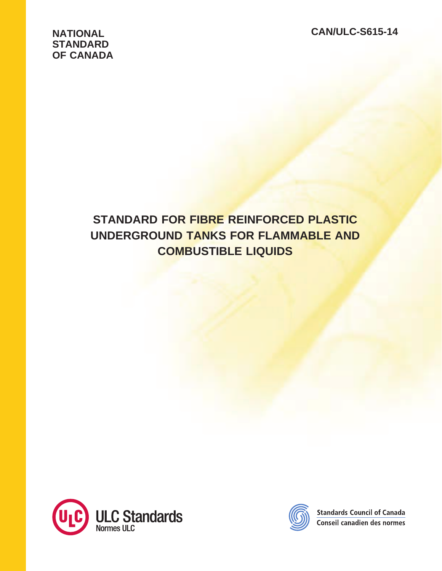# **NATIONAL STANDARD OF CANADA**

# **STANDARD FOR FIBRE REINFORCED PLASTIC UNDERGROUND TANKS FOR FLAMMABLE AND COMBUSTIBLE LIQUIDS**





**Standards Council of Canada** Conseil canadien des normes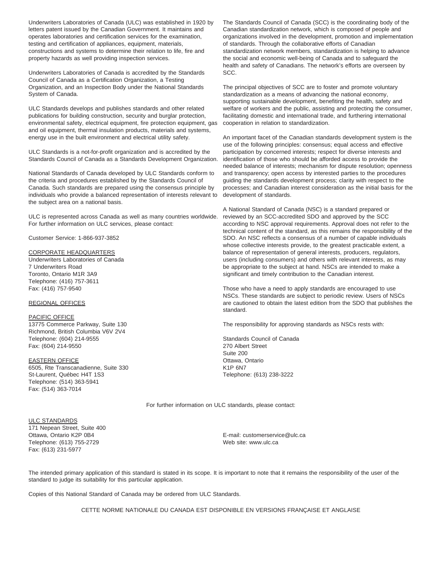Underwriters Laboratories of Canada (ULC) was established in 1920 by letters patent issued by the Canadian Government. It maintains and operates laboratories and certification services for the examination, testing and certification of appliances, equipment, materials, constructions and systems to determine their relation to life, fire and property hazards as well providing inspection services.

Underwriters Laboratories of Canada is accredited by the Standards Council of Canada as a Certification Organization, a Testing Organization, and an Inspection Body under the National Standards System of Canada.

ULC Standards develops and publishes standards and other related publications for building construction, security and burglar protection, environmental safety, electrical equipment, fire protection equipment, gas and oil equipment, thermal insulation products, materials and systems, energy use in the built environment and electrical utility safety.

ULC Standards is a not-for-profit organization and is accredited by the Standards Council of Canada as a Standards Development Organization.

National Standards of Canada developed by ULC Standards conform to the criteria and procedures established by the Standards Council of Canada. Such standards are prepared using the consensus principle by individuals who provide a balanced representation of interests relevant to the subject area on a national basis.

ULC is represented across Canada as well as many countries worldwide. For further information on ULC services, please contact:

Customer Service: 1-866-937-3852

#### CORPORATE HEADQUARTERS

Underwriters Laboratories of Canada 7 Underwriters Road Toronto, Ontario M1R 3A9 Telephone: (416) 757-3611 Fax: (416) 757-9540

#### REGIONAL OFFICES

#### PACIFIC OFFICE

13775 Commerce Parkway, Suite 130 Richmond, British Columbia V6V 2V4 Telephone: (604) 214-9555 Fax: (604) 214-9550

#### EASTERN OFFICE

6505, Rte Transcanadienne, Suite 330 St-Laurent, Québec H4T 1S3 Telephone: (514) 363-5941 Fax: (514) 363-7014

#### ULC STANDARDS

171 Nepean Street, Suite 400 Ottawa, Ontario K2P 0B4 Telephone: (613) 755-2729 Fax: (613) 231-5977

The Standards Council of Canada (SCC) is the coordinating body of the Canadian standardization network, which is composed of people and organizations involved in the development, promotion and implementation of standards. Through the collaborative efforts of Canadian standardization network members, standardization is helping to advance the social and economic well-being of Canada and to safeguard the health and safety of Canadians. The network's efforts are overseen by SCC.

The principal objectives of SCC are to foster and promote voluntary standardization as a means of advancing the national economy, supporting sustainable development, benefiting the health, safety and welfare of workers and the public, assisting and protecting the consumer, facilitating domestic and international trade, and furthering international cooperation in relation to standardization.

An important facet of the Canadian standards development system is the use of the following principles: consensus; equal access and effective participation by concerned interests; respect for diverse interests and identification of those who should be afforded access to provide the needed balance of interests; mechanism for dispute resolution; openness and transparency; open access by interested parties to the procedures guiding the standards development process; clarity with respect to the processes; and Canadian interest consideration as the initial basis for the development of standards.

A National Standard of Canada (NSC) is a standard prepared or reviewed by an SCC-accredited SDO and approved by the SCC according to NSC approval requirements. Approval does not refer to the technical content of the standard, as this remains the responsibility of the SDO. An NSC reflects a consensus of a number of capable individuals whose collective interests provide, to the greatest practicable extent, a balance of representation of general interests, producers, regulators, users (including consumers) and others with relevant interests, as may be appropriate to the subject at hand. NSCs are intended to make a significant and timely contribution to the Canadian interest.

Those who have a need to apply standards are encouraged to use NSCs. These standards are subject to periodic review. Users of NSCs are cautioned to obtain the latest edition from the SDO that publishes the standard.

The responsibility for approving standards as NSCs rests with:

Standards Council of Canada 270 Albert Street Suite 200 Ottawa, Ontario K1P 6N7 Telephone: (613) 238-3222

For further information on ULC standards, please contact:

E-mail: customerservice@ulc.ca Web site: www.ulc.ca

The intended primary application of this standard is stated in its scope. It is important to note that it remains the responsibility of the user of the standard to judge its suitability for this particular application.

Copies of this National Standard of Canada may be ordered from ULC Standards.

CETTE NORME NATIONALE DU CANADA EST DISPONIBLE EN VERSIONS FRANÇAISE ET ANGLAISE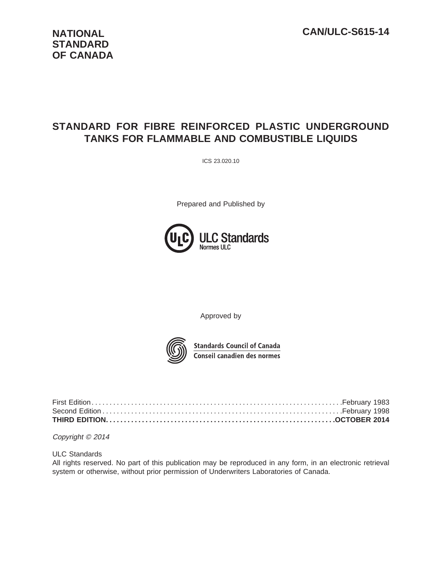# **NATIONAL STANDARD OF CANADA**

# **STANDARD FOR FIBRE REINFORCED PLASTIC UNDERGROUND TANKS FOR FLAMMABLE AND COMBUSTIBLE LIQUIDS**

ICS 23.020.10

Prepared and Published by



Approved by



**Standards Council of Canada Conseil canadien des normes** 

Copyright © 2014

ULC Standards

All rights reserved. No part of this publication may be reproduced in any form, in an electronic retrieval system or otherwise, without prior permission of Underwriters Laboratories of Canada.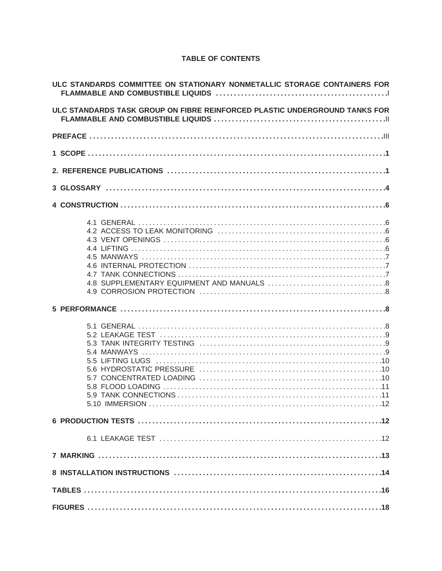#### **TABLE OF CONTENTS**

| ULC STANDARDS COMMITTEE ON STATIONARY NONMETALLIC STORAGE CONTAINERS FOR   |
|----------------------------------------------------------------------------|
| ULC STANDARDS TASK GROUP ON FIBRE REINFORCED PLASTIC UNDERGROUND TANKS FOR |
|                                                                            |
|                                                                            |
|                                                                            |
|                                                                            |
|                                                                            |
|                                                                            |
|                                                                            |
|                                                                            |
|                                                                            |
|                                                                            |
|                                                                            |
|                                                                            |
|                                                                            |
|                                                                            |
|                                                                            |
|                                                                            |
|                                                                            |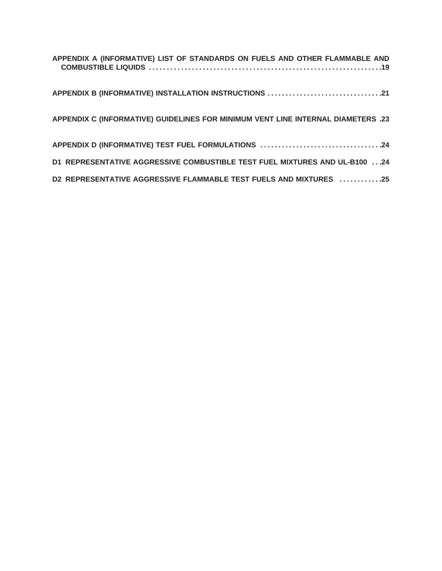| APPENDIX A (INFORMATIVE) LIST OF STANDARDS ON FUELS AND OTHER FLAMMABLE AND      |
|----------------------------------------------------------------------------------|
| APPENDIX B (INFORMATIVE) INSTALLATION INSTRUCTIONS 21                            |
| APPENDIX C (INFORMATIVE) GUIDELINES FOR MINIMUM VENT LINE INTERNAL DIAMETERS .23 |
| APPENDIX D (INFORMATIVE) TEST FUEL FORMULATIONS 24                               |
| D1 REPRESENTATIVE AGGRESSIVE COMBUSTIBLE TEST FUEL MIXTURES AND UL-B100 24       |
| D2 REPRESENTATIVE AGGRESSIVE FLAMMABLE TEST FUELS AND MIXTURES 25                |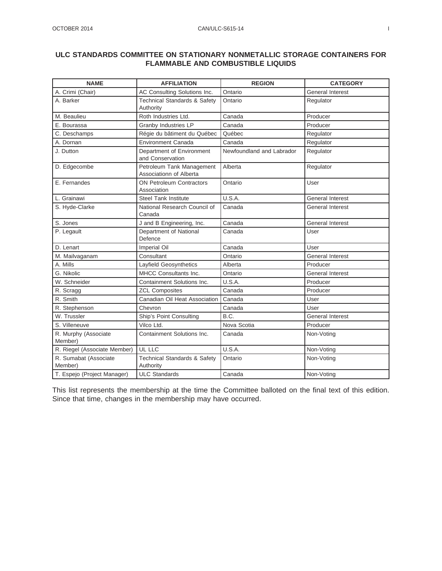#### **ULC STANDARDS COMMITTEE ON STATIONARY NONMETALLIC STORAGE CONTAINERS FOR FLAMMABLE AND COMBUSTIBLE LIQUIDS**

| <b>NAME</b>                      | <b>AFFILIATION</b>                                   | <b>REGION</b>             | <b>CATEGORY</b>         |
|----------------------------------|------------------------------------------------------|---------------------------|-------------------------|
| A. Crimi (Chair)                 | AC Consulting Solutions Inc.                         | Ontario                   | General Interest        |
| A. Barker                        | <b>Technical Standards &amp; Safety</b><br>Authority | Ontario                   | Regulator               |
| M. Beaulieu                      | Roth Industries Ltd.                                 | Canada                    | Producer                |
| E. Bourassa                      | Granby Industries LP                                 | Canada                    | Producer                |
| C. Deschamps                     | Régie du bâtiment du Québec                          | Québec                    | Regulator               |
| A. Dornan                        | <b>Environment Canada</b>                            | Canada                    | Regulator               |
| J. Dutton                        | Department of Environment<br>and Conservation        | Newfoundland and Labrador | Regulator               |
| D. Edgecombe                     | Petroleum Tank Management<br>Associationn of Alberta | Alberta                   | Regulator               |
| E. Fernandes                     | ON Petroleum Contractors<br>Association              | Ontario                   | User                    |
| L. Grainawi                      | <b>Steel Tank Institute</b>                          | U.S.A.                    | <b>General Interest</b> |
| S. Hyde-Clarke                   | National Research Council of<br>Canada               | Canada                    | <b>General Interest</b> |
| S. Jones                         | J and B Engineering, Inc.                            | Canada                    | <b>General Interest</b> |
| P. Legault                       | Department of National<br>Defence                    | Canada                    | User                    |
| D. Lenart                        | Imperial Oil                                         | Canada                    | User                    |
| M. Mailvaganam                   | Consultant                                           | Ontario                   | General Interest        |
| A. Mills                         | Layfield Geosynthetics                               | Alberta                   | Producer                |
| G. Nikolic                       | MHCC Consultants Inc.                                | Ontario                   | <b>General Interest</b> |
| W. Schneider                     | Containment Solutions Inc.                           | U.S.A.                    | Producer                |
| R. Scragg                        | <b>ZCL Composites</b>                                | Canada                    | Producer                |
| R. Smith                         | Canadian Oil Heat Association                        | Canada                    | User                    |
| R. Stephenson                    | Chevron                                              | Canada                    | User                    |
| W. Trussler                      | Ship's Point Consulting                              | B.C.                      | General Interest        |
| S. Villeneuve                    | Vilco Ltd.                                           | Nova Scotia               | Producer                |
| R. Murphy (Associate<br>Member)  | Containment Solutions Inc.                           | Canada                    | Non-Voting              |
| R. Riegel (Associate Member)     | UL LLC                                               | U.S.A.                    | Non-Voting              |
| R. Sumabat (Associate<br>Member) | <b>Technical Standards &amp; Safety</b><br>Authority | Ontario                   | Non-Voting              |
| T. Espejo (Project Manager)      | <b>ULC Standards</b>                                 | Canada                    | Non-Voting              |

This list represents the membership at the time the Committee balloted on the final text of this edition. Since that time, changes in the membership may have occurred.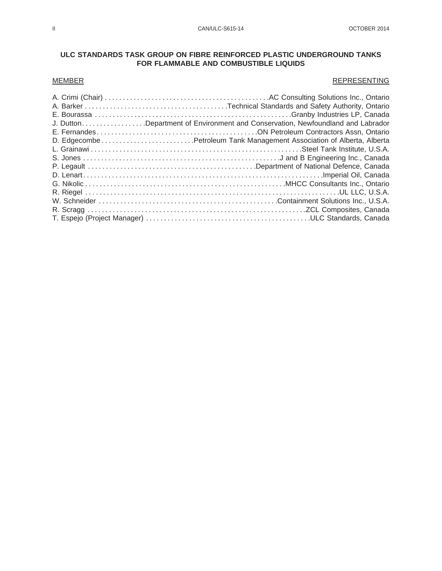#### **ULC STANDARDS TASK GROUP ON FIBRE REINFORCED PLASTIC UNDERGROUND TANKS FOR FLAMMABLE AND COMBUSTIBLE LIQUIDS**

#### MEMBER REPRESENTING

| J. DuttonDepartment of Environment and Conservation, Newfoundland and Labrador |
|--------------------------------------------------------------------------------|
|                                                                                |
|                                                                                |
|                                                                                |
|                                                                                |
|                                                                                |
|                                                                                |
|                                                                                |
|                                                                                |
|                                                                                |
|                                                                                |
|                                                                                |
|                                                                                |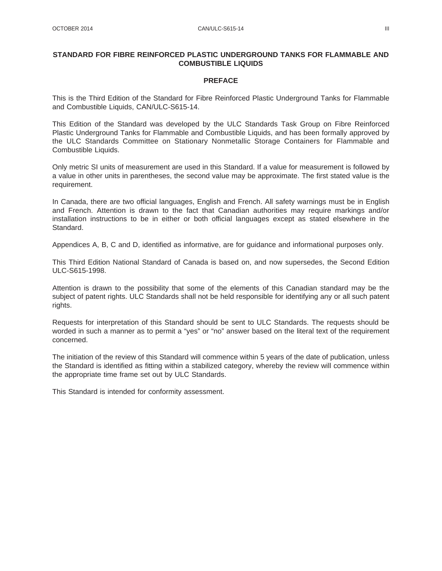#### **STANDARD FOR FIBRE REINFORCED PLASTIC UNDERGROUND TANKS FOR FLAMMABLE AND COMBUSTIBLE LIQUIDS**

#### **PREFACE**

This is the Third Edition of the Standard for Fibre Reinforced Plastic Underground Tanks for Flammable and Combustible Liquids, CAN/ULC-S615-14.

This Edition of the Standard was developed by the ULC Standards Task Group on Fibre Reinforced Plastic Underground Tanks for Flammable and Combustible Liquids, and has been formally approved by the ULC Standards Committee on Stationary Nonmetallic Storage Containers for Flammable and Combustible Liquids.

Only metric SI units of measurement are used in this Standard. If a value for measurement is followed by a value in other units in parentheses, the second value may be approximate. The first stated value is the requirement.

In Canada, there are two official languages, English and French. All safety warnings must be in English and French. Attention is drawn to the fact that Canadian authorities may require markings and/or installation instructions to be in either or both official languages except as stated elsewhere in the Standard.

Appendices A, B, C and D, identified as informative, are for guidance and informational purposes only.

This Third Edition National Standard of Canada is based on, and now supersedes, the Second Edition ULC-S615-1998.

Attention is drawn to the possibility that some of the elements of this Canadian standard may be the subject of patent rights. ULC Standards shall not be held responsible for identifying any or all such patent rights.

Requests for interpretation of this Standard should be sent to ULC Standards. The requests should be worded in such a manner as to permit a "yes" or "no" answer based on the literal text of the requirement concerned.

The initiation of the review of this Standard will commence within 5 years of the date of publication, unless the Standard is identified as fitting within a stabilized category, whereby the review will commence within the appropriate time frame set out by ULC Standards.

This Standard is intended for conformity assessment.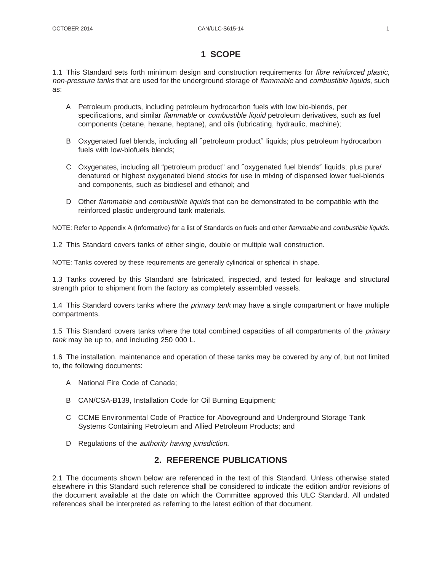#### **1 SCOPE**

1.1 This Standard sets forth minimum design and construction requirements for fibre reinforced plastic, non-pressure tanks that are used for the underground storage of flammable and combustible liquids, such as:

- A Petroleum products, including petroleum hydrocarbon fuels with low bio-blends, per specifications, and similar flammable or combustible liquid petroleum derivatives, such as fuel components (cetane, hexane, heptane), and oils (lubricating, hydraulic, machine);
- B Oxygenated fuel blends, including all ″petroleum product″ liquids; plus petroleum hydrocarbon fuels with low-biofuels blends;
- C Oxygenates, including all "petroleum product" and ″oxygenated fuel blends″ liquids; plus pure/ denatured or highest oxygenated blend stocks for use in mixing of dispensed lower fuel-blends and components, such as biodiesel and ethanol; and
- D Other flammable and combustible liquids that can be demonstrated to be compatible with the reinforced plastic underground tank materials.

NOTE: Refer to Appendix A (Informative) for a list of Standards on fuels and other flammable and combustible liquids.

1.2 This Standard covers tanks of either single, double or multiple wall construction.

NOTE: Tanks covered by these requirements are generally cylindrical or spherical in shape.

1.3 Tanks covered by this Standard are fabricated, inspected, and tested for leakage and structural strength prior to shipment from the factory as completely assembled vessels.

1.4 This Standard covers tanks where the *primary tank* may have a single compartment or have multiple compartments.

1.5 This Standard covers tanks where the total combined capacities of all compartments of the *primary* tank may be up to, and including 250 000 L.

1.6 The installation, maintenance and operation of these tanks may be covered by any of, but not limited to, the following documents:

- A National Fire Code of Canada;
- B CAN/CSA-B139, Installation Code for Oil Burning Equipment;
- C CCME Environmental Code of Practice for Aboveground and Underground Storage Tank Systems Containing Petroleum and Allied Petroleum Products; and
- D Regulations of the *authority having jurisdiction*.

# **2. REFERENCE PUBLICATIONS**

2.1 The documents shown below are referenced in the text of this Standard. Unless otherwise stated elsewhere in this Standard such reference shall be considered to indicate the edition and/or revisions of the document available at the date on which the Committee approved this ULC Standard. All undated references shall be interpreted as referring to the latest edition of that document.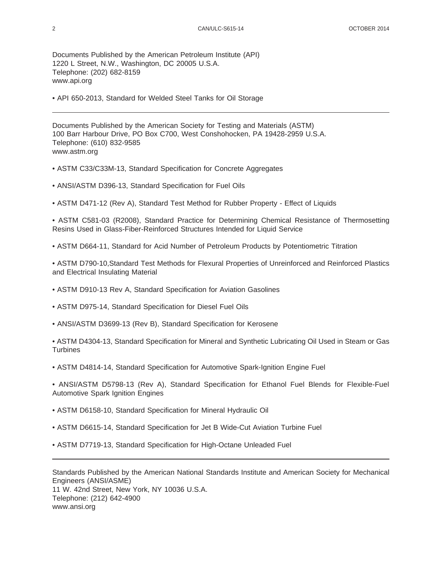Documents Published by the American Petroleum Institute (API) 1220 L Street, N.W., Washington, DC 20005 U.S.A. Telephone: (202) 682-8159 www.api.org

• API 650-2013, Standard for Welded Steel Tanks for Oil Storage

Documents Published by the American Society for Testing and Materials (ASTM) 100 Barr Harbour Drive, PO Box C700, West Conshohocken, PA 19428-2959 U.S.A. Telephone: (610) 832-9585 www.astm.org

- ASTM C33/C33M-13, Standard Specification for Concrete Aggregates
- ANSI/ASTM D396-13, Standard Specification for Fuel Oils
- ASTM D471-12 (Rev A), Standard Test Method for Rubber Property Effect of Liquids

• ASTM C581-03 (R2008), Standard Practice for Determining Chemical Resistance of Thermosetting Resins Used in Glass-Fiber-Reinforced Structures Intended for Liquid Service

• ASTM D664-11, Standard for Acid Number of Petroleum Products by Potentiometric Titration

• ASTM D790-10,Standard Test Methods for Flexural Properties of Unreinforced and Reinforced Plastics and Electrical Insulating Material

- ASTM D910-13 Rev A, Standard Specification for Aviation Gasolines
- ASTM D975-14, Standard Specification for Diesel Fuel Oils
- ANSI/ASTM D3699-13 (Rev B), Standard Specification for Kerosene
- ASTM D4304-13, Standard Specification for Mineral and Synthetic Lubricating Oil Used in Steam or Gas **Turbines**
- ASTM D4814-14, Standard Specification for Automotive Spark-Ignition Engine Fuel
- ANSI/ASTM D5798-13 (Rev A), Standard Specification for Ethanol Fuel Blends for Flexible-Fuel Automotive Spark Ignition Engines
- ASTM D6158-10, Standard Specification for Mineral Hydraulic Oil
- ASTM D6615-14, Standard Specification for Jet B Wide-Cut Aviation Turbine Fuel
- ASTM D7719-13, Standard Specification for High-Octane Unleaded Fuel

Standards Published by the American National Standards Institute and American Society for Mechanical Engineers (ANSI/ASME) 11 W. 42nd Street, New York, NY 10036 U.S.A. Telephone: (212) 642-4900 www.ansi.org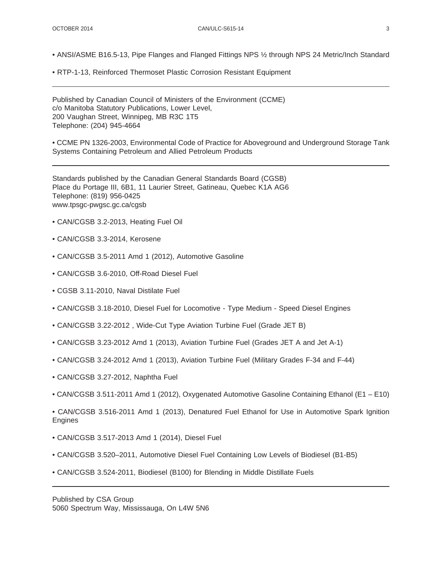- ANSI/ASME B16.5-13, Pipe Flanges and Flanged Fittings NPS ½ through NPS 24 Metric/Inch Standard
- RTP-1-13, Reinforced Thermoset Plastic Corrosion Resistant Equipment

Published by Canadian Council of Ministers of the Environment (CCME) c/o Manitoba Statutory Publications, Lower Level, 200 Vaughan Street, Winnipeg, MB R3C 1T5 Telephone: (204) 945-4664

• CCME PN 1326-2003, Environmental Code of Practice for Aboveground and Underground Storage Tank Systems Containing Petroleum and Allied Petroleum Products

Standards published by the Canadian General Standards Board (CGSB) Place du Portage III, 6B1, 11 Laurier Street, Gatineau, Quebec K1A AG6 Telephone: (819) 956-0425 www.tpsgc-pwgsc.gc.ca/cgsb

- CAN/CGSB 3.2-2013, Heating Fuel Oil
- CAN/CGSB 3.3-2014, Kerosene
- CAN/CGSB 3.5-2011 Amd 1 (2012), Automotive Gasoline
- CAN/CGSB 3.6-2010, Off-Road Diesel Fuel
- CGSB 3.11-2010, Naval Distilate Fuel
- CAN/CGSB 3.18-2010, Diesel Fuel for Locomotive Type Medium Speed Diesel Engines
- CAN/CGSB 3.22-2012 , Wide-Cut Type Aviation Turbine Fuel (Grade JET B)
- CAN/CGSB 3.23-2012 Amd 1 (2013), Aviation Turbine Fuel (Grades JET A and Jet A-1)
- CAN/CGSB 3.24-2012 Amd 1 (2013), Aviation Turbine Fuel (Military Grades F-34 and F-44)
- CAN/CGSB 3.27-2012, Naphtha Fuel
- CAN/CGSB 3.511-2011 Amd 1 (2012), Oxygenated Automotive Gasoline Containing Ethanol (E1 E10)

• CAN/CGSB 3.516-2011 Amd 1 (2013), Denatured Fuel Ethanol for Use in Automotive Spark Ignition Engines

- CAN/CGSB 3.517-2013 Amd 1 (2014), Diesel Fuel
- CAN/CGSB 3.520–2011, Automotive Diesel Fuel Containing Low Levels of Biodiesel (B1-B5)
- CAN/CGSB 3.524-2011, Biodiesel (B100) for Blending in Middle Distillate Fuels

Published by CSA Group 5060 Spectrum Way, Mississauga, On L4W 5N6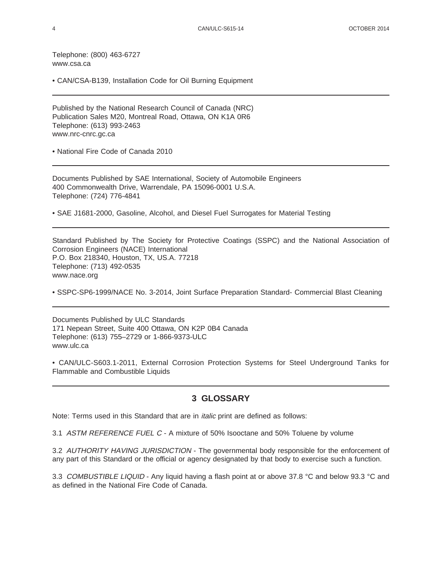Telephone: (800) 463-6727 www.csa.ca

• CAN/CSA-B139, Installation Code for Oil Burning Equipment

Published by the National Research Council of Canada (NRC) Publication Sales M20, Montreal Road, Ottawa, ON K1A 0R6 Telephone: (613) 993-2463 www.nrc-cnrc.gc.ca

• National Fire Code of Canada 2010

Documents Published by SAE International, Society of Automobile Engineers 400 Commonwealth Drive, Warrendale, PA 15096-0001 U.S.A. Telephone: (724) 776-4841

• SAE J1681-2000, Gasoline, Alcohol, and Diesel Fuel Surrogates for Material Testing

Standard Published by The Society for Protective Coatings (SSPC) and the National Association of Corrosion Engineers (NACE) International P.O. Box 218340, Houston, TX, US.A. 77218 Telephone: (713) 492-0535 www.nace.org

• SSPC-SP6-1999/NACE No. 3-2014, Joint Surface Preparation Standard- Commercial Blast Cleaning

Documents Published by ULC Standards 171 Nepean Street, Suite 400 Ottawa, ON K2P 0B4 Canada Telephone: (613) 755–2729 or 1-866-9373-ULC www.ulc.ca

• CAN/ULC-S603.1-2011, External Corrosion Protection Systems for Steel Underground Tanks for Flammable and Combustible Liquids

#### **3 GLOSSARY**

Note: Terms used in this Standard that are in italic print are defined as follows:

3.1 ASTM REFERENCE FUEL C - A mixture of 50% Isooctane and 50% Toluene by volume

3.2 AUTHORITY HAVING JURISDICTION - The governmental body responsible for the enforcement of any part of this Standard or the official or agency designated by that body to exercise such a function.

3.3 COMBUSTIBLE LIQUID - Any liquid having a flash point at or above 37.8 °C and below 93.3 °C and as defined in the National Fire Code of Canada.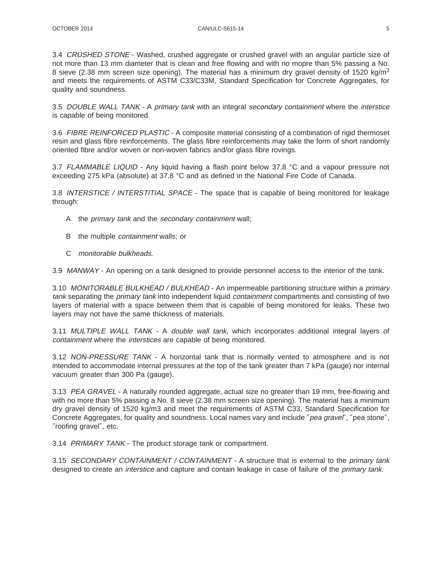3.4 CRUSHED STONE - Washed, crushed aggregate or crushed gravel with an angular particle size of not more than 13 mm diameter that is clean and free flowing and with no mopre than 5% passing a No. 8 sieve (2.38 mm screen size opening). The material has a minimum dry gravel density of 1520 kg/m<sup>3</sup> and meets the requirements of ASTM C33/C33M, Standard Specification for Concrete Aggregates, for quality and soundness.

3.5 DOUBLE WALL TANK - A primary tank with an integral secondary containment where the interstice is capable of being monitored.

3.6 FIBRE REINFORCED PLASTIC - A composite material consisting of a combination of rigid thermoset resin and glass fibre reinforcements. The glass fibre reinforcements may take the form of short randomly oriented fibre and/or woven or non-woven fabrics and/or glass fibre rovings.

3.7 FLAMMABLE LIQUID - Any liquid having a flash point below 37.8 °C and a vapour pressure not exceeding 275 kPa (absolute) at 37.8 °C and as defined in the National Fire Code of Canada.

3.8 INTERSTICE / INTERSTITIAL SPACE - The space that is capable of being monitored for leakage through:

- A the primary tank and the secondary containment wall;
- B the multiple *containment* walls; or
- C monitorable bulkheads.

3.9 MANWAY - An opening on a tank designed to provide personnel access to the interior of the tank.

3.10 MONITORABLE BULKHEAD / BULKHEAD - An impermeable partitioning structure within a primary tank separating the *primary tank* into independent liquid *containment* compartments and consisting of two layers of material with a space between them that is capable of being monitored for leaks. These two layers may not have the same thickness of materials.

3.11 MULTIPLE WALL TANK - A double wall tank, which incorporates additional integral layers of containment where the interstices are capable of being monitored.

3.12 NON-PRESSURE TANK - A horizontal tank that is normally vented to atmosphere and is not intended to accommodate internal pressures at the top of the tank greater than 7 kPa (gauge) nor internal vacuum greater than 300 Pa (gauge).

3.13 PEA GRAVEL - A naturally rounded aggregate, actual size no greater than 19 mm, free-flowing and with no more than 5% passing a No. 8 sieve (2.38 mm screen size opening). The material has a minimum dry gravel density of 1520 kg/m3 and meet the requirements of ASTM C33, Standard Specification for Concrete Aggregates, for quality and soundness. Local names vary and include "pea gravel", "pea stone", ″roofing gravel″, etc.

3.14 PRIMARY TANK - The product storage tank or compartment.

3.15 SECONDARY CONTAINMENT / CONTAINMENT - A structure that is external to the primary tank designed to create an *interstice* and capture and contain leakage in case of failure of the *primary tank*.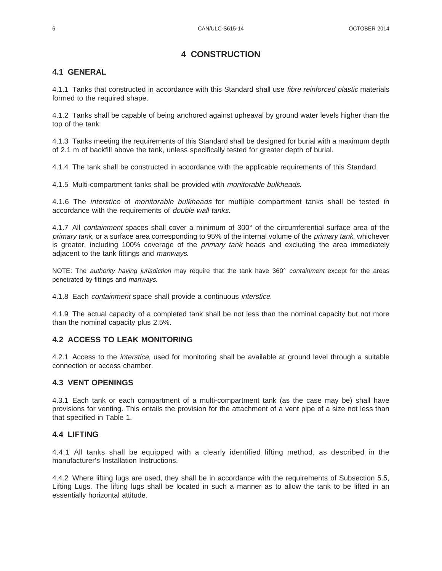# **4 CONSTRUCTION**

### **4.1 GENERAL**

4.1.1 Tanks that constructed in accordance with this Standard shall use *fibre reinforced plastic* materials formed to the required shape.

4.1.2 Tanks shall be capable of being anchored against upheaval by ground water levels higher than the top of the tank.

4.1.3 Tanks meeting the requirements of this Standard shall be designed for burial with a maximum depth of 2.1 m of backfill above the tank, unless specifically tested for greater depth of burial.

4.1.4 The tank shall be constructed in accordance with the applicable requirements of this Standard.

4.1.5 Multi-compartment tanks shall be provided with monitorable bulkheads.

4.1.6 The interstice of monitorable bulkheads for multiple compartment tanks shall be tested in accordance with the requirements of double wall tanks.

4.1.7 All containment spaces shall cover a minimum of 300° of the circumferential surface area of the primary tank, or a surface area corresponding to 95% of the internal volume of the *primary tank*, whichever is greater, including 100% coverage of the *primary tank* heads and excluding the area immediately adjacent to the tank fittings and manways.

NOTE: The *authority having jurisdiction* may require that the tank have 360° containment except for the areas penetrated by fittings and manways.

4.1.8 Each containment space shall provide a continuous interstice.

4.1.9 The actual capacity of a completed tank shall be not less than the nominal capacity but not more than the nominal capacity plus 2.5%.

#### **4.2 ACCESS TO LEAK MONITORING**

4.2.1 Access to the *interstice*, used for monitoring shall be available at ground level through a suitable connection or access chamber.

#### **4.3 VENT OPENINGS**

4.3.1 Each tank or each compartment of a multi-compartment tank (as the case may be) shall have provisions for venting. This entails the provision for the attachment of a vent pipe of a size not less than that specified in Table 1.

#### **4.4 LIFTING**

4.4.1 All tanks shall be equipped with a clearly identified lifting method, as described in the manufacturer's Installation Instructions.

4.4.2 Where lifting lugs are used, they shall be in accordance with the requirements of Subsection 5.5, Lifting Lugs. The lifting lugs shall be located in such a manner as to allow the tank to be lifted in an essentially horizontal attitude.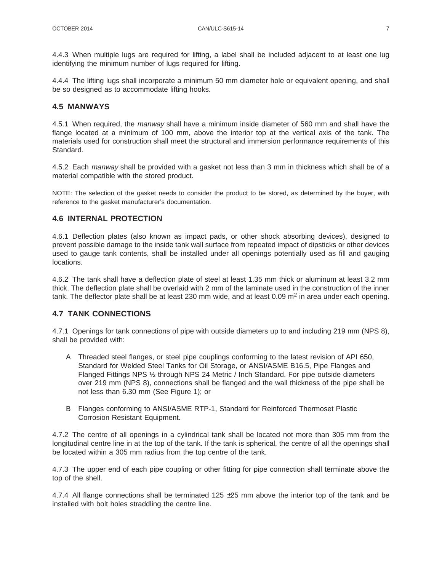4.4.3 When multiple lugs are required for lifting, a label shall be included adjacent to at least one lug identifying the minimum number of lugs required for lifting.

4.4.4 The lifting lugs shall incorporate a minimum 50 mm diameter hole or equivalent opening, and shall be so designed as to accommodate lifting hooks.

#### **4.5 MANWAYS**

4.5.1 When required, the *manway* shall have a minimum inside diameter of 560 mm and shall have the flange located at a minimum of 100 mm, above the interior top at the vertical axis of the tank. The materials used for construction shall meet the structural and immersion performance requirements of this Standard.

4.5.2 Each *manway* shall be provided with a gasket not less than 3 mm in thickness which shall be of a material compatible with the stored product.

NOTE: The selection of the gasket needs to consider the product to be stored, as determined by the buyer, with reference to the gasket manufacturer's documentation.

#### **4.6 INTERNAL PROTECTION**

4.6.1 Deflection plates (also known as impact pads, or other shock absorbing devices), designed to prevent possible damage to the inside tank wall surface from repeated impact of dipsticks or other devices used to gauge tank contents, shall be installed under all openings potentially used as fill and gauging locations.

4.6.2 The tank shall have a deflection plate of steel at least 1.35 mm thick or aluminum at least 3.2 mm thick. The deflection plate shall be overlaid with 2 mm of the laminate used in the construction of the inner tank. The deflector plate shall be at least 230 mm wide, and at least 0.09  $m<sup>2</sup>$  in area under each opening.

#### **4.7 TANK CONNECTIONS**

4.7.1 Openings for tank connections of pipe with outside diameters up to and including 219 mm (NPS 8), shall be provided with:

- A Threaded steel flanges, or steel pipe couplings conforming to the latest revision of API 650, Standard for Welded Steel Tanks for Oil Storage, or ANSI/ASME B16.5, Pipe Flanges and Flanged Fittings NPS ½ through NPS 24 Metric / Inch Standard. For pipe outside diameters over 219 mm (NPS 8), connections shall be flanged and the wall thickness of the pipe shall be not less than 6.30 mm (See Figure 1); or
- B Flanges conforming to ANSI/ASME RTP-1, Standard for Reinforced Thermoset Plastic Corrosion Resistant Equipment.

4.7.2 The centre of all openings in a cylindrical tank shall be located not more than 305 mm from the longitudinal centre line in at the top of the tank. If the tank is spherical, the centre of all the openings shall be located within a 305 mm radius from the top centre of the tank.

4.7.3 The upper end of each pipe coupling or other fitting for pipe connection shall terminate above the top of the shell.

4.7.4 All flange connections shall be terminated 125  $\pm$ 25 mm above the interior top of the tank and be installed with bolt holes straddling the centre line.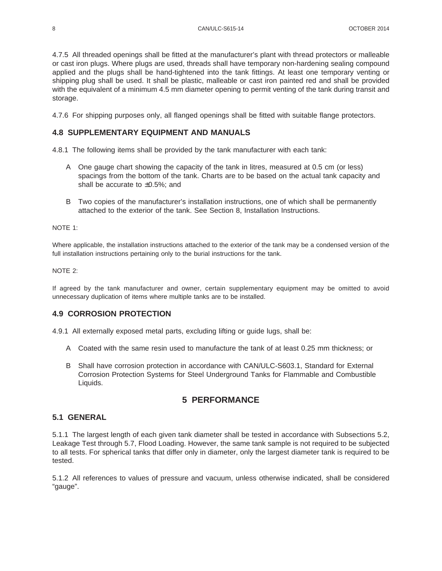4.7.5 All threaded openings shall be fitted at the manufacturer's plant with thread protectors or malleable or cast iron plugs. Where plugs are used, threads shall have temporary non-hardening sealing compound applied and the plugs shall be hand-tightened into the tank fittings. At least one temporary venting or shipping plug shall be used. It shall be plastic, malleable or cast iron painted red and shall be provided with the equivalent of a minimum 4.5 mm diameter opening to permit venting of the tank during transit and storage.

4.7.6 For shipping purposes only, all flanged openings shall be fitted with suitable flange protectors.

#### **4.8 SUPPLEMENTARY EQUIPMENT AND MANUALS**

4.8.1 The following items shall be provided by the tank manufacturer with each tank:

- A One gauge chart showing the capacity of the tank in litres, measured at 0.5 cm (or less) spacings from the bottom of the tank. Charts are to be based on the actual tank capacity and shall be accurate to  $\pm 0.5\%$ ; and
- B Two copies of the manufacturer's installation instructions, one of which shall be permanently attached to the exterior of the tank. See Section 8, Installation Instructions.

#### NOTE 1:

Where applicable, the installation instructions attached to the exterior of the tank may be a condensed version of the full installation instructions pertaining only to the burial instructions for the tank.

#### NOTE 2:

If agreed by the tank manufacturer and owner, certain supplementary equipment may be omitted to avoid unnecessary duplication of items where multiple tanks are to be installed.

#### **4.9 CORROSION PROTECTION**

4.9.1 All externally exposed metal parts, excluding lifting or guide lugs, shall be:

- A Coated with the same resin used to manufacture the tank of at least 0.25 mm thickness; or
- B Shall have corrosion protection in accordance with CAN/ULC-S603.1, Standard for External Corrosion Protection Systems for Steel Underground Tanks for Flammable and Combustible Liquids.

# **5 PERFORMANCE**

#### **5.1 GENERAL**

5.1.1 The largest length of each given tank diameter shall be tested in accordance with Subsections 5.2, Leakage Test through 5.7, Flood Loading. However, the same tank sample is not required to be subjected to all tests. For spherical tanks that differ only in diameter, only the largest diameter tank is required to be tested.

5.1.2 All references to values of pressure and vacuum, unless otherwise indicated, shall be considered "gauge".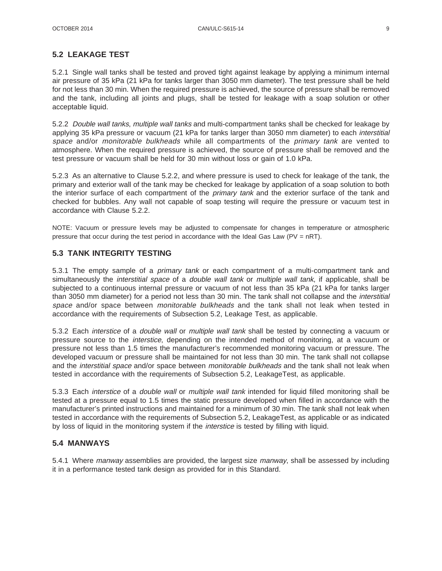#### **5.2 LEAKAGE TEST**

5.2.1 Single wall tanks shall be tested and proved tight against leakage by applying a minimum internal air pressure of 35 kPa (21 kPa for tanks larger than 3050 mm diameter). The test pressure shall be held for not less than 30 min. When the required pressure is achieved, the source of pressure shall be removed and the tank, including all joints and plugs, shall be tested for leakage with a soap solution or other acceptable liquid.

5.2.2 Double wall tanks, multiple wall tanks and multi-compartment tanks shall be checked for leakage by applying 35 kPa pressure or vacuum (21 kPa for tanks larger than 3050 mm diameter) to each interstitial space and/or monitorable bulkheads while all compartments of the primary tank are vented to atmosphere. When the required pressure is achieved, the source of pressure shall be removed and the test pressure or vacuum shall be held for 30 min without loss or gain of 1.0 kPa.

5.2.3 As an alternative to Clause 5.2.2, and where pressure is used to check for leakage of the tank, the primary and exterior wall of the tank may be checked for leakage by application of a soap solution to both the interior surface of each compartment of the *primary tank* and the exterior surface of the tank and checked for bubbles. Any wall not capable of soap testing will require the pressure or vacuum test in accordance with Clause 5.2.2.

NOTE: Vacuum or pressure levels may be adjusted to compensate for changes in temperature or atmospheric pressure that occur during the test period in accordance with the Ideal Gas Law  $(PV = nRT)$ .

#### **5.3 TANK INTEGRITY TESTING**

5.3.1 The empty sample of a *primary tank* or each compartment of a multi-compartment tank and simultaneously the *interstitial space* of a *double wall tank* or *multiple wall tank*, if applicable, shall be subjected to a continuous internal pressure or vacuum of not less than 35 kPa (21 kPa for tanks larger than 3050 mm diameter) for a period not less than 30 min. The tank shall not collapse and the *interstitial* space and/or space between monitorable bulkheads and the tank shall not leak when tested in accordance with the requirements of Subsection 5.2, Leakage Test, as applicable.

5.3.2 Each interstice of a double wall or multiple wall tank shall be tested by connecting a vacuum or pressure source to the interstice, depending on the intended method of monitoring, at a vacuum or pressure not less than 1.5 times the manufacturer's recommended monitoring vacuum or pressure. The developed vacuum or pressure shall be maintained for not less than 30 min. The tank shall not collapse and the interstitial space and/or space between monitorable bulkheads and the tank shall not leak when tested in accordance with the requirements of Subsection 5.2, LeakageTest, as applicable.

5.3.3 Each interstice of a *double wall* or multiple wall tank intended for liquid filled monitoring shall be tested at a pressure equal to 1.5 times the static pressure developed when filled in accordance with the manufacturer's printed instructions and maintained for a minimum of 30 min. The tank shall not leak when tested in accordance with the requirements of Subsection 5.2, LeakageTest, as applicable or as indicated by loss of liquid in the monitoring system if the *interstice* is tested by filling with liquid.

#### **5.4 MANWAYS**

5.4.1 Where *manway* assemblies are provided, the largest size *manway*, shall be assessed by including it in a performance tested tank design as provided for in this Standard.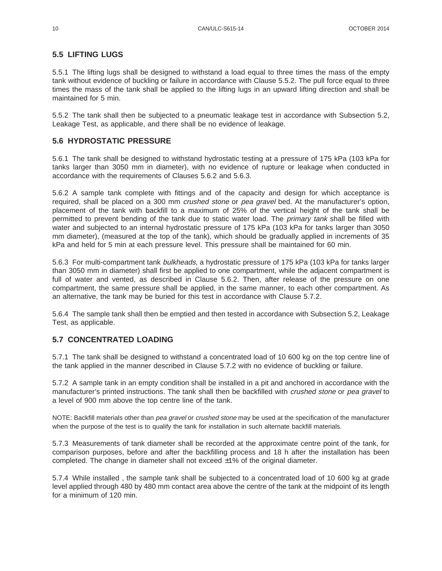#### **5.5 LIFTING LUGS**

5.5.1 The lifting lugs shall be designed to withstand a load equal to three times the mass of the empty tank without evidence of buckling or failure in accordance with Clause 5.5.2. The pull force equal to three times the mass of the tank shall be applied to the lifting lugs in an upward lifting direction and shall be maintained for 5 min.

5.5.2 The tank shall then be subjected to a pneumatic leakage test in accordance with Subsection 5.2, Leakage Test, as applicable, and there shall be no evidence of leakage.

#### **5.6 HYDROSTATIC PRESSURE**

5.6.1 The tank shall be designed to withstand hydrostatic testing at a pressure of 175 kPa (103 kPa for tanks larger than 3050 mm in diameter), with no evidence of rupture or leakage when conducted in accordance with the requirements of Clauses 5.6.2 and 5.6.3.

5.6.2 A sample tank complete with fittings and of the capacity and design for which acceptance is required, shall be placed on a 300 mm crushed stone or pea gravel bed. At the manufacturer's option, placement of the tank with backfill to a maximum of 25% of the vertical height of the tank shall be permitted to prevent bending of the tank due to static water load. The *primary tank* shall be filled with water and subjected to an internal hydrostatic pressure of 175 kPa (103 kPa for tanks larger than 3050 mm diameter), (measured at the top of the tank), which should be gradually applied in increments of 35 kPa and held for 5 min at each pressure level. This pressure shall be maintained for 60 min.

5.6.3 For multi-compartment tank bulkheads, a hydrostatic pressure of 175 kPa (103 kPa for tanks larger than 3050 mm in diameter) shall first be applied to one compartment, while the adjacent compartment is full of water and vented, as described in Clause 5.6.2. Then, after release of the pressure on one compartment, the same pressure shall be applied, in the same manner, to each other compartment. As an alternative, the tank may be buried for this test in accordance with Clause 5.7.2.

5.6.4 The sample tank shall then be emptied and then tested in accordance with Subsection 5.2, Leakage Test, as applicable.

#### **5.7 CONCENTRATED LOADING**

5.7.1 The tank shall be designed to withstand a concentrated load of 10 600 kg on the top centre line of the tank applied in the manner described in Clause 5.7.2 with no evidence of buckling or failure.

5.7.2 A sample tank in an empty condition shall be installed in a pit and anchored in accordance with the manufacturer's printed instructions. The tank shall then be backfilled with *crushed stone* or pea gravel to a level of 900 mm above the top centre line of the tank.

NOTE: Backfill materials other than pea gravel or crushed stone may be used at the specification of the manufacturer when the purpose of the test is to qualify the tank for installation in such alternate backfill materials.

5.7.3 Measurements of tank diameter shall be recorded at the approximate centre point of the tank, for comparison purposes, before and after the backfilling process and 18 h after the installation has been completed. The change in diameter shall not exceed ±1% of the original diameter.

5.7.4 While installed , the sample tank shall be subjected to a concentrated load of 10 600 kg at grade level applied through 480 by 480 mm contact area above the centre of the tank at the midpoint of its length for a minimum of 120 min.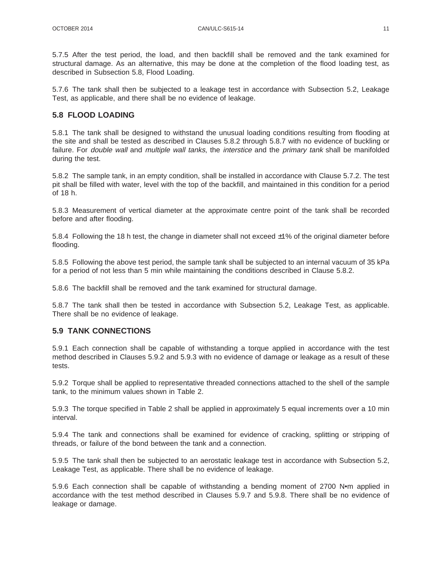5.7.5 After the test period, the load, and then backfill shall be removed and the tank examined for structural damage. As an alternative, this may be done at the completion of the flood loading test, as described in Subsection 5.8, Flood Loading.

5.7.6 The tank shall then be subjected to a leakage test in accordance with Subsection 5.2, Leakage Test, as applicable, and there shall be no evidence of leakage.

#### **5.8 FLOOD LOADING**

5.8.1 The tank shall be designed to withstand the unusual loading conditions resulting from flooding at the site and shall be tested as described in Clauses 5.8.2 through 5.8.7 with no evidence of buckling or failure. For *double wall* and *multiple wall tanks*, the *interstice* and the *primary tank* shall be manifolded during the test.

5.8.2 The sample tank, in an empty condition, shall be installed in accordance with Clause 5.7.2. The test pit shall be filled with water, level with the top of the backfill, and maintained in this condition for a period of 18 h.

5.8.3 Measurement of vertical diameter at the approximate centre point of the tank shall be recorded before and after flooding.

5.8.4 Following the 18 h test, the change in diameter shall not exceed  $\pm$ 1% of the original diameter before flooding.

5.8.5 Following the above test period, the sample tank shall be subjected to an internal vacuum of 35 kPa for a period of not less than 5 min while maintaining the conditions described in Clause 5.8.2.

5.8.6 The backfill shall be removed and the tank examined for structural damage.

5.8.7 The tank shall then be tested in accordance with Subsection 5.2, Leakage Test, as applicable. There shall be no evidence of leakage.

#### **5.9 TANK CONNECTIONS**

5.9.1 Each connection shall be capable of withstanding a torque applied in accordance with the test method described in Clauses 5.9.2 and 5.9.3 with no evidence of damage or leakage as a result of these tests.

5.9.2 Torque shall be applied to representative threaded connections attached to the shell of the sample tank, to the minimum values shown in Table 2.

5.9.3 The torque specified in Table 2 shall be applied in approximately 5 equal increments over a 10 min interval.

5.9.4 The tank and connections shall be examined for evidence of cracking, splitting or stripping of threads, or failure of the bond between the tank and a connection.

5.9.5 The tank shall then be subjected to an aerostatic leakage test in accordance with Subsection 5.2, Leakage Test, as applicable. There shall be no evidence of leakage.

5.9.6 Each connection shall be capable of withstanding a bending moment of 2700 N•m applied in accordance with the test method described in Clauses 5.9.7 and 5.9.8. There shall be no evidence of leakage or damage.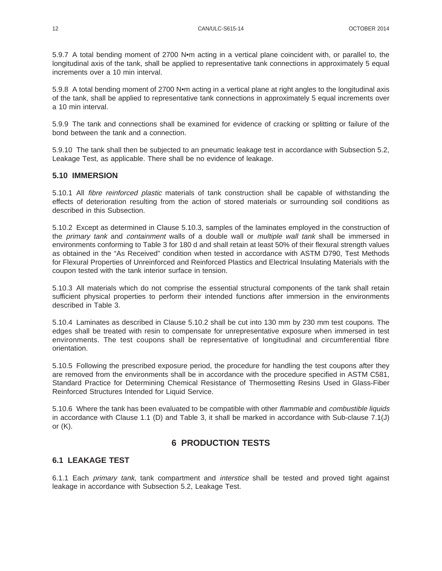5.9.7 A total bending moment of 2700 N•m acting in a vertical plane coincident with, or parallel to, the longitudinal axis of the tank, shall be applied to representative tank connections in approximately 5 equal increments over a 10 min interval.

5.9.8 A total bending moment of 2700 N•m acting in a vertical plane at right angles to the longitudinal axis of the tank, shall be applied to representative tank connections in approximately 5 equal increments over a 10 min interval.

5.9.9 The tank and connections shall be examined for evidence of cracking or splitting or failure of the bond between the tank and a connection.

5.9.10 The tank shall then be subjected to an pneumatic leakage test in accordance with Subsection 5.2, Leakage Test, as applicable. There shall be no evidence of leakage.

#### **5.10 IMMERSION**

5.10.1 All fibre reinforced plastic materials of tank construction shall be capable of withstanding the effects of deterioration resulting from the action of stored materials or surrounding soil conditions as described in this Subsection.

5.10.2 Except as determined in Clause 5.10.3, samples of the laminates employed in the construction of the primary tank and containment walls of a double wall or multiple wall tank shall be immersed in environments conforming to Table 3 for 180 d and shall retain at least 50% of their flexural strength values as obtained in the "As Received" condition when tested in accordance with ASTM D790, Test Methods for Flexural Properties of Unreinforced and Reinforced Plastics and Electrical Insulating Materials with the coupon tested with the tank interior surface in tension.

5.10.3 All materials which do not comprise the essential structural components of the tank shall retain sufficient physical properties to perform their intended functions after immersion in the environments described in Table 3.

5.10.4 Laminates as described in Clause 5.10.2 shall be cut into 130 mm by 230 mm test coupons. The edges shall be treated with resin to compensate for unrepresentative exposure when immersed in test environments. The test coupons shall be representative of longitudinal and circumferential fibre orientation.

5.10.5 Following the prescribed exposure period, the procedure for handling the test coupons after they are removed from the environments shall be in accordance with the procedure specified in ASTM C581, Standard Practice for Determining Chemical Resistance of Thermosetting Resins Used in Glass-Fiber Reinforced Structures Intended for Liquid Service.

5.10.6 Where the tank has been evaluated to be compatible with other flammable and combustible liquids in accordance with Clause 1.1 (D) and Table 3, it shall be marked in accordance with Sub-clause 7.1(J) or  $(K)$ .

# **6 PRODUCTION TESTS**

#### **6.1 LEAKAGE TEST**

6.1.1 Each primary tank, tank compartment and interstice shall be tested and proved tight against leakage in accordance with Subsection 5.2, Leakage Test.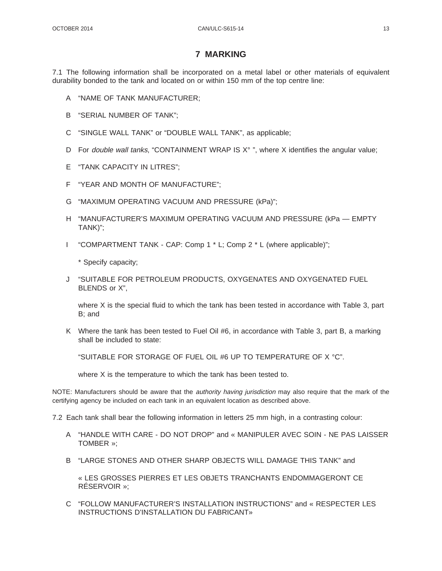#### **7 MARKING**

7.1 The following information shall be incorporated on a metal label or other materials of equivalent durability bonded to the tank and located on or within 150 mm of the top centre line:

- A "NAME OF TANK MANUFACTURER;
- B "SERIAL NUMBER OF TANK";
- C "SINGLE WALL TANK" or "DOUBLE WALL TANK", as applicable;
- D For *double wall tanks*, "CONTAINMENT WRAP IS  $X^{\circ}$ ", where X identifies the angular value;
- E "TANK CAPACITY IN LITRES";
- F "YEAR AND MONTH OF MANUFACTURE";
- G "MAXIMUM OPERATING VACUUM AND PRESSURE (kPa)";
- H "MANUFACTURER'S MAXIMUM OPERATING VACUUM AND PRESSURE (kPa EMPTY TANK)";
- I "COMPARTMENT TANK CAP: Comp 1 \* L; Comp 2 \* L (where applicable)";

\* Specify capacity;

J "SUITABLE FOR PETROLEUM PRODUCTS, OXYGENATES AND OXYGENATED FUEL BLENDS or X",

where X is the special fluid to which the tank has been tested in accordance with Table 3, part B; and

K Where the tank has been tested to Fuel Oil #6, in accordance with Table 3, part B, a marking shall be included to state:

"SUITABLE FOR STORAGE OF FUEL OIL #6 UP TO TEMPERATURE OF X °C".

where X is the temperature to which the tank has been tested to.

NOTE: Manufacturers should be aware that the *authority having jurisdiction* may also require that the mark of the certifying agency be included on each tank in an equivalent location as described above.

7.2 Each tank shall bear the following information in letters 25 mm high, in a contrasting colour:

- A "HANDLE WITH CARE DO NOT DROP" and « MANIPULER AVEC SOIN NE PAS LAISSER TOMBER »;
- B "LARGE STONES AND OTHER SHARP OBJECTS WILL DAMAGE THIS TANK" and

« LES GROSSES PIERRES ET LES OBJETS TRANCHANTS ENDOMMAGERONT CE RÉSERVOIR »;

C "FOLLOW MANUFACTURER'S INSTALLATION INSTRUCTIONS" and « RESPECTER LES INSTRUCTIONS D'INSTALLATION DU FABRICANT»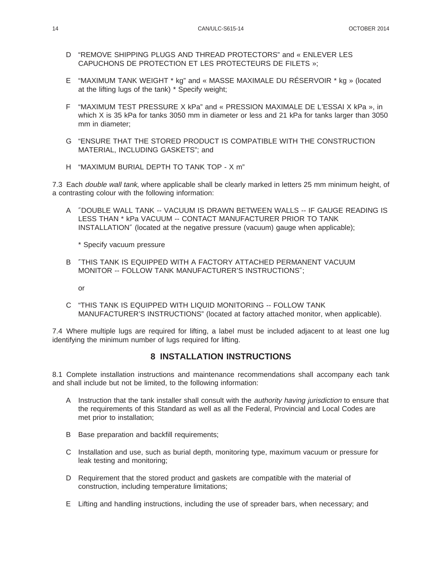- D "REMOVE SHIPPING PLUGS AND THREAD PROTECTORS" and « ENLEVER LES CAPUCHONS DE PROTECTION ET LES PROTECTEURS DE FILETS »;
- E "MAXIMUM TANK WEIGHT \* kg" and « MASSE MAXIMALE DU RÉSERVOIR \* kg » (located at the lifting lugs of the tank) \* Specify weight;
- F "MAXIMUM TEST PRESSURE X kPa" and « PRESSION MAXIMALE DE L'ESSAI X kPa », in which X is 35 kPa for tanks 3050 mm in diameter or less and 21 kPa for tanks larger than 3050 mm in diameter;
- G "ENSURE THAT THE STORED PRODUCT IS COMPATIBLE WITH THE CONSTRUCTION MATERIAL, INCLUDING GASKETS"; and
- H "MAXIMUM BURIAL DEPTH TO TANK TOP X m"

7.3 Each *double wall tank*, where applicable shall be clearly marked in letters 25 mm minimum height, of a contrasting colour with the following information:

A ″DOUBLE WALL TANK -- VACUUM IS DRAWN BETWEEN WALLS -- IF GAUGE READING IS LESS THAN \* kPa VACUUM -- CONTACT MANUFACTURER PRIOR TO TANK INSTALLATION″ (located at the negative pressure (vacuum) gauge when applicable);

\* Specify vacuum pressure

- B ″THIS TANK IS EQUIPPED WITH A FACTORY ATTACHED PERMANENT VACUUM MONITOR -- FOLLOW TANK MANUFACTURER'S INSTRUCTIONS″;
	- or
- C "THIS TANK IS EQUIPPED WITH LIQUID MONITORING -- FOLLOW TANK MANUFACTURER'S INSTRUCTIONS" (located at factory attached monitor, when applicable).

7.4 Where multiple lugs are required for lifting, a label must be included adjacent to at least one lug identifying the minimum number of lugs required for lifting.

# **8 INSTALLATION INSTRUCTIONS**

8.1 Complete installation instructions and maintenance recommendations shall accompany each tank and shall include but not be limited, to the following information:

- A Instruction that the tank installer shall consult with the *authority having jurisdiction* to ensure that the requirements of this Standard as well as all the Federal, Provincial and Local Codes are met prior to installation;
- B Base preparation and backfill requirements;
- C Installation and use, such as burial depth, monitoring type, maximum vacuum or pressure for leak testing and monitoring;
- D Requirement that the stored product and gaskets are compatible with the material of construction, including temperature limitations;
- E Lifting and handling instructions, including the use of spreader bars, when necessary; and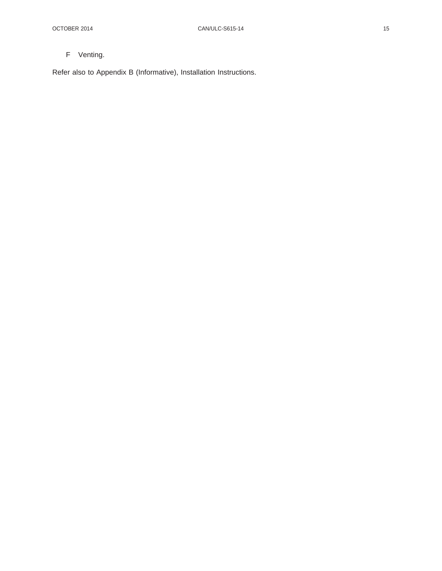# F Venting.

Refer also to Appendix B (Informative), Installation Instructions.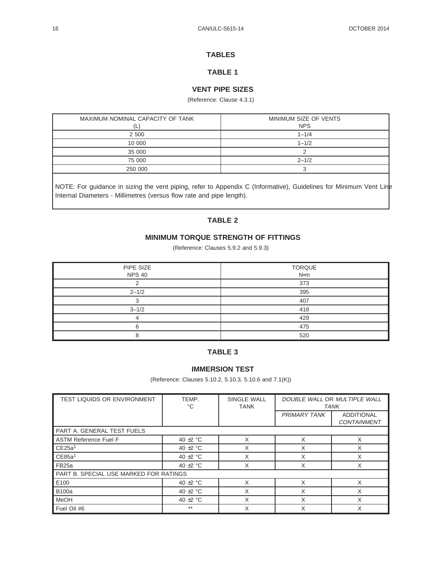#### **TABLES**

### **TABLE 1**

#### **VENT PIPE SIZES**

#### (Reference: Clause 4.3.1)

| MAXIMUM NOMINAL CAPACITY OF TANK<br>◟ | MINIMUM SIZE OF VENTS<br><b>NPS</b> |
|---------------------------------------|-------------------------------------|
| 2 500                                 | $1 - 1/4$                           |
| 10 000                                | $1 - 1/2$                           |
| 35 000                                |                                     |
| 75 000                                | $2 - 1/2$                           |
| 250 000                               |                                     |

NOTE: For guidance in sizing the vent piping, refer to Appendix C (Informative), Guidelines for Minimum Vent Line Internal Diameters - Millimetres (versus flow rate and pipe length).

### **TABLE 2**

#### **MINIMUM TORQUE STRENGTH OF FITTINGS**

(Reference: Clauses 5.9.2 and 5.9.3)

| PIPE SIZE<br><b>NPS 40</b> | <b>TORQUE</b><br>N•m |
|----------------------------|----------------------|
|                            | 373                  |
| $2 - 1/2$                  | 395                  |
|                            | 407                  |
| $3 - 1/2$                  | 418                  |
|                            | 429                  |
| ี                          | 475                  |
|                            | 520                  |

#### **TABLE 3**

#### **IMMERSION TEST**

(Reference: Clauses 5.10.2, 5.10.3, 5.10.6 and 7.1(K))

| <b>TEST LIQUIDS OR ENVIRONMENT</b>     | TEMP.<br>$^{\circ}C$ | <b>SINGLE WALL</b><br><b>TANK</b> | DOUBLE WALL OR MULTIPLE WALL<br><b>TANK</b> |                                         |
|----------------------------------------|----------------------|-----------------------------------|---------------------------------------------|-----------------------------------------|
|                                        |                      |                                   | <b>PRIMARY TANK</b>                         | <b>ADDITIONAL</b><br><b>CONTAINMENT</b> |
| PART A. GENERAL TEST FUELS             |                      |                                   |                                             |                                         |
| <b>ASTM Reference Fuel F</b>           | 40 $\pm$ 2 °C        | X                                 | X                                           | X                                       |
| CE25a <sup>1</sup>                     | 40 $\pm$ 2 °C        | X                                 | X                                           | X                                       |
| CE85a <sup>1</sup>                     | 40 $\pm$ 2 °C        | X                                 | X                                           | X                                       |
| FB <sub>25a</sub>                      | 40 $\pm$ 2 °C        | X                                 | X                                           | X                                       |
| PART B. SPECIAL USE MARKED FOR RATINGS |                      |                                   |                                             |                                         |
| E100                                   | 40 $\pm$ 2 °C        | X                                 | X                                           | X                                       |
| <b>B100a</b>                           | 40 $\pm$ 2 °C        | Χ                                 | X                                           | X                                       |
| <b>MeOH</b>                            | 40 $\pm$ 2 °C        | X                                 | X                                           | X                                       |
| Fuel Oil #6                            | $***$                | Χ                                 | X                                           | Χ                                       |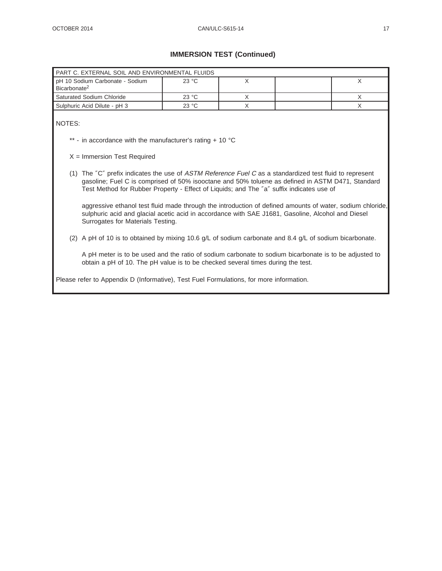# **IMMERSION TEST (Continued)**

| PART C. EXTERNAL SOIL AND ENVIRONMENTAL FLUIDS                                                                                                                                                                                                                                                                                                                                                                                                                                                                                |       |          |  |          |
|-------------------------------------------------------------------------------------------------------------------------------------------------------------------------------------------------------------------------------------------------------------------------------------------------------------------------------------------------------------------------------------------------------------------------------------------------------------------------------------------------------------------------------|-------|----------|--|----------|
| pH 10 Sodium Carbonate - Sodium<br>Bicarbonate <sup>2</sup>                                                                                                                                                                                                                                                                                                                                                                                                                                                                   | 23 °C | $\times$ |  | $\times$ |
| Saturated Sodium Chloride                                                                                                                                                                                                                                                                                                                                                                                                                                                                                                     | 23 °C | X        |  | $\times$ |
| Sulphuric Acid Dilute - pH 3                                                                                                                                                                                                                                                                                                                                                                                                                                                                                                  | 23 °C | X        |  | X        |
| NOTES:<br>** - in accordance with the manufacturer's rating $+10$ °C<br>$X =$ Immersion Test Required<br>(1) The "C" prefix indicates the use of ASTM Reference Fuel C as a standardized test fluid to represent<br>gasoline; Fuel C is comprised of 50% isooctane and 50% toluene as defined in ASTM D471, Standard<br>Test Method for Rubber Property - Effect of Liquids; and The "a" suffix indicates use of<br>aggressive ethanol test fluid made through the introduction of defined amounts of water, sodium chloride, |       |          |  |          |
| sulphuric acid and glacial acetic acid in accordance with SAE J1681, Gasoline, Alcohol and Diesel<br>Surrogates for Materials Testing.<br>(2) A pH of 10 is to obtained by mixing 10.6 g/L of sodium carbonate and 8.4 g/L of sodium bicarbonate.<br>A pH meter is to be used and the ratio of sodium carbonate to sodium bicarbonate is to be adjusted to<br>obtain a pH of 10. The pH value is to be checked several times during the test.                                                                                 |       |          |  |          |
| Please refer to Appendix D (Informative), Test Fuel Formulations, for more information.                                                                                                                                                                                                                                                                                                                                                                                                                                       |       |          |  |          |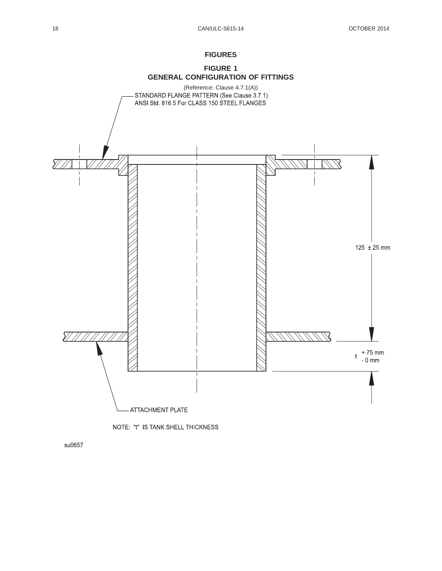#### **FIGURES**





su0657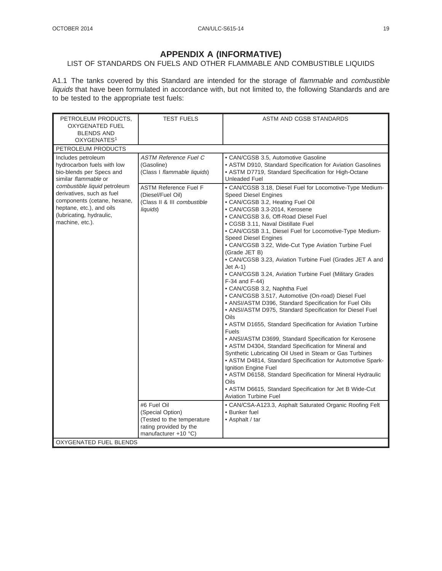# **APPENDIX A (INFORMATIVE)**

# LIST OF STANDARDS ON FUELS AND OTHER FLAMMABLE AND COMBUSTIBLE LIQUIDS

A1.1 The tanks covered by this Standard are intended for the storage of flammable and combustible liquids that have been formulated in accordance with, but not limited to, the following Standards and are to be tested to the appropriate test fuels:

| PETROLEUM PRODUCTS,<br><b>OXYGENATED FUEL</b><br><b>BLENDS AND</b><br>OXYGENATES <sup>1</sup>                                                                     | <b>TEST FUELS</b>                                                                                               | ASTM AND CGSB STANDARDS                                                                                                                                                                                                                                                                                                                                                                                                                                                                                                                                                                                                                                                                    |
|-------------------------------------------------------------------------------------------------------------------------------------------------------------------|-----------------------------------------------------------------------------------------------------------------|--------------------------------------------------------------------------------------------------------------------------------------------------------------------------------------------------------------------------------------------------------------------------------------------------------------------------------------------------------------------------------------------------------------------------------------------------------------------------------------------------------------------------------------------------------------------------------------------------------------------------------------------------------------------------------------------|
| PETROLEUM PRODUCTS                                                                                                                                                |                                                                                                                 |                                                                                                                                                                                                                                                                                                                                                                                                                                                                                                                                                                                                                                                                                            |
| Includes petroleum<br>hydrocarbon fuels with low<br>bio-blends per Specs and<br>similar flammable or<br>combustible liquid petroleum<br>derivatives, such as fuel | <b>ASTM Reference Fuel C</b><br>(Gasoline)<br>(Class I flammable liquids)<br><b>ASTM Reference Fuel F</b>       | · CAN/CGSB 3.5, Automotive Gasoline<br>• ASTM D910, Standard Specification for Aviation Gasolines<br>• ASTM D7719, Standard Specification for High-Octane<br><b>Unleaded Fuel</b><br>• CAN/CGSB 3.18, Diesel Fuel for Locomotive-Type Medium-                                                                                                                                                                                                                                                                                                                                                                                                                                              |
| components (cetane, hexane,<br>heptane, etc.), and oils<br>(lubricating, hydraulic,<br>machine, etc.).                                                            | (Diesel/Fuel Oil)<br>(Class II & III combustible<br>liquids)                                                    | <b>Speed Diesel Engines</b><br>· CAN/CGSB 3.2, Heating Fuel Oil<br>• CAN/CGSB 3.3-2014, Kerosene<br>· CAN/CGSB 3.6, Off-Road Diesel Fuel<br>• CGSB 3.11, Naval Distillate Fuel<br>• CAN/CGSB 3.1, Diesel Fuel for Locomotive-Type Medium-<br>Speed Diesel Engines<br>• CAN/CGSB 3.22, Wide-Cut Type Aviation Turbine Fuel<br>(Grade JET B)<br>• CAN/CGSB 3.23, Aviation Turbine Fuel (Grades JET A and<br>$Jet A-1)$<br>• CAN/CGSB 3.24, Aviation Turbine Fuel (Military Grades<br>F-34 and F-44)<br>· CAN/CGSB 3.2, Naphtha Fuel                                                                                                                                                          |
|                                                                                                                                                                   |                                                                                                                 | • CAN/CGSB 3.517, Automotive (On-road) Diesel Fuel<br>• ANSI/ASTM D396, Standard Specification for Fuel Oils<br>• ANSI/ASTM D975, Standard Specification for Diesel Fuel<br>Oils<br>• ASTM D1655, Standard Specification for Aviation Turbine<br>Fuels<br>• ANSI/ASTM D3699, Standard Specification for Kerosene<br>• ASTM D4304, Standard Specification for Mineral and<br>Synthetic Lubricating Oil Used in Steam or Gas Turbines<br>• ASTM D4814, Standard Specification for Automotive Spark-<br>Ignition Engine Fuel<br>• ASTM D6158, Standard Specification for Mineral Hydraulic<br>Oils<br>• ASTM D6615, Standard Specification for Jet B Wide-Cut<br><b>Aviation Turbine Fuel</b> |
|                                                                                                                                                                   | #6 Fuel Oil<br>(Special Option)<br>(Tested to the temperature<br>rating provided by the<br>manufacturer +10 °C) | • CAN/CSA-A123.3, Asphalt Saturated Organic Roofing Felt<br>• Bunker fuel<br>• Asphalt / tar                                                                                                                                                                                                                                                                                                                                                                                                                                                                                                                                                                                               |
| OXYGENATED FUEL BLENDS                                                                                                                                            |                                                                                                                 |                                                                                                                                                                                                                                                                                                                                                                                                                                                                                                                                                                                                                                                                                            |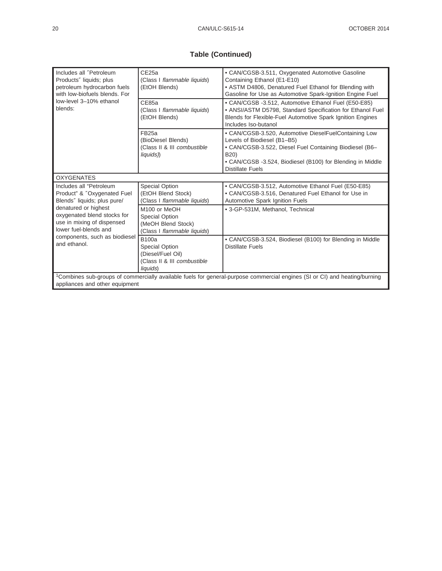# **Table (Continued)**

| Includes all "Petroleum<br>Products" liquids; plus<br>petroleum hydrocarbon fuels<br>with low-biofuels blends. For                                                       | CE25a<br>(Class I flammable liquids)<br>(EtOH Blends)                                                  | • CAN/CGSB-3.511, Oxygenated Automotive Gasoline<br>Containing Ethanol (E1-E10)<br>• ASTM D4806, Denatured Fuel Ethanol for Blending with<br>Gasoline for Use as Automotive Spark-Ignition Engine Fuel                                    |  |
|--------------------------------------------------------------------------------------------------------------------------------------------------------------------------|--------------------------------------------------------------------------------------------------------|-------------------------------------------------------------------------------------------------------------------------------------------------------------------------------------------------------------------------------------------|--|
| low-level 3-10% ethanol<br>blends:                                                                                                                                       | CE85a<br>(Class I flammable liquids)<br>(EtOH Blends)                                                  | • CAN/CGSB -3.512, Automotive Ethanol Fuel (E50-E85)<br>• ANSI/ASTM D5798, Standard Specification for Ethanol Fuel<br>Blends for Flexible-Fuel Automotive Spark Ignition Engines<br>Includes Iso-butanol                                  |  |
|                                                                                                                                                                          | FB <sub>25a</sub><br>(BioDiesel Blends)<br>(Class II & III combustible<br>liquids))                    | • CAN/CGSB-3.520, Automotive DieselFuelContaining Low<br>Levels of Biodiesel (B1-B5)<br>• CAN/CGSB-3.522, Diesel Fuel Containing Biodiesel (B6-<br>B20)<br>• CAN/CGSB -3.524, Biodiesel (B100) for Blending in Middle<br>Distillate Fuels |  |
| <b>OXYGENATES</b>                                                                                                                                                        |                                                                                                        |                                                                                                                                                                                                                                           |  |
| Includes all "Petroleum<br>Product" & "Oxygenated Fuel<br>Blends" liquids; plus pure/                                                                                    | Special Option<br>(EtOH Blend Stock)<br>(Class I flammable liquids)                                    | • CAN/CGSB-3.512, Automotive Ethanol Fuel (E50-E85)<br>• CAN/CGSB-3.516, Denatured Fuel Ethanol for Use in<br>Automotive Spark Ignition Fuels                                                                                             |  |
| denatured or highest<br>oxygenated blend stocks for<br>use in mixing of dispensed<br>lower fuel-blends and                                                               | M <sub>100</sub> or MeOH<br><b>Special Option</b><br>(MeOH Blend Stock)<br>(Class I flammable liquids) | • 3-GP-531M, Methanol, Technical                                                                                                                                                                                                          |  |
| components, such as biodiesel<br>and ethanol.                                                                                                                            | <b>B100a</b><br>Special Option<br>(Diesel/Fuel Oil)<br>(Class II & III combustible<br>liquids)         | • CAN/CGSB-3.524, Biodiesel (B100) for Blending in Middle<br><b>Distillate Fuels</b>                                                                                                                                                      |  |
| <sup>1</sup> Combines sub-groups of commercially available fuels for general-purpose commercial engines (SI or CI) and heating/burning<br>appliances and other equipment |                                                                                                        |                                                                                                                                                                                                                                           |  |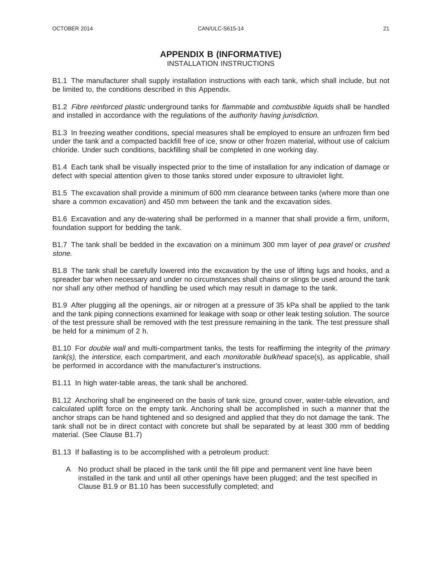# **APPENDIX B (INFORMATIVE)**

INSTALLATION INSTRUCTIONS

B1.1 The manufacturer shall supply installation instructions with each tank, which shall include, but not be limited to, the conditions described in this Appendix.

B1.2 Fibre reinforced plastic underground tanks for flammable and combustible liquids shall be handled and installed in accordance with the regulations of the authority having jurisdiction.

B1.3 In freezing weather conditions, special measures shall be employed to ensure an unfrozen firm bed under the tank and a compacted backfill free of ice, snow or other frozen material, without use of calcium chloride. Under such conditions, backfilling shall be completed in one working day.

B1.4 Each tank shall be visually inspected prior to the time of installation for any indication of damage or defect with special attention given to those tanks stored under exposure to ultraviolet light.

B1.5 The excavation shall provide a minimum of 600 mm clearance between tanks (where more than one share a common excavation) and 450 mm between the tank and the excavation sides.

B1.6 Excavation and any de-watering shall be performed in a manner that shall provide a firm, uniform, foundation support for bedding the tank.

B1.7 The tank shall be bedded in the excavation on a minimum 300 mm layer of pea gravel or crushed stone.

B1.8 The tank shall be carefully lowered into the excavation by the use of lifting lugs and hooks, and a spreader bar when necessary and under no circumstances shall chains or slings be used around the tank nor shall any other method of handling be used which may result in damage to the tank.

B1.9 After plugging all the openings, air or nitrogen at a pressure of 35 kPa shall be applied to the tank and the tank piping connections examined for leakage with soap or other leak testing solution. The source of the test pressure shall be removed with the test pressure remaining in the tank. The test pressure shall be held for a minimum of 2 h.

B1.10 For *double wall* and multi-compartment tanks, the tests for reaffirming the integrity of the *primary* tank(s), the interstice, each compartment, and each monitorable bulkhead space(s), as applicable, shall be performed in accordance with the manufacturer's instructions.

B1.11 In high water-table areas, the tank shall be anchored.

B1.12 Anchoring shall be engineered on the basis of tank size, ground cover, water-table elevation, and calculated uplift force on the empty tank. Anchoring shall be accomplished in such a manner that the anchor straps can be hand tightened and so designed and applied that they do not damage the tank. The tank shall not be in direct contact with concrete but shall be separated by at least 300 mm of bedding material. (See Clause B1.7)

B1.13 If ballasting is to be accomplished with a petroleum product:

A No product shall be placed in the tank until the fill pipe and permanent vent line have been installed in the tank and until all other openings have been plugged; and the test specified in Clause B1.9 or B1.10 has been successfully completed; and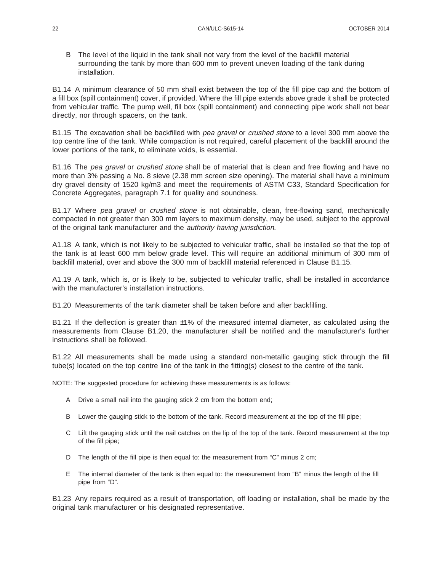B The level of the liquid in the tank shall not vary from the level of the backfill material surrounding the tank by more than 600 mm to prevent uneven loading of the tank during installation.

B1.14 A minimum clearance of 50 mm shall exist between the top of the fill pipe cap and the bottom of a fill box (spill containment) cover, if provided. Where the fill pipe extends above grade it shall be protected from vehicular traffic. The pump well, fill box (spill containment) and connecting pipe work shall not bear directly, nor through spacers, on the tank.

B1.15 The excavation shall be backfilled with *pea gravel* or *crushed stone* to a level 300 mm above the top centre line of the tank. While compaction is not required, careful placement of the backfill around the lower portions of the tank, to eliminate voids, is essential.

B1.16 The pea gravel or crushed stone shall be of material that is clean and free flowing and have no more than 3% passing a No. 8 sieve (2.38 mm screen size opening). The material shall have a minimum dry gravel density of 1520 kg/m3 and meet the requirements of ASTM C33, Standard Specification for Concrete Aggregates, paragraph 7.1 for quality and soundness.

B1.17 Where pea gravel or crushed stone is not obtainable, clean, free-flowing sand, mechanically compacted in not greater than 300 mm layers to maximum density, may be used, subject to the approval of the original tank manufacturer and the authority having jurisdiction.

A1.18 A tank, which is not likely to be subjected to vehicular traffic, shall be installed so that the top of the tank is at least 600 mm below grade level. This will require an additional minimum of 300 mm of backfill material, over and above the 300 mm of backfill material referenced in Clause B1.15.

A1.19 A tank, which is, or is likely to be, subjected to vehicular traffic, shall be installed in accordance with the manufacturer's installation instructions.

B1.20 Measurements of the tank diameter shall be taken before and after backfilling.

B1.21 If the deflection is greater than ±1% of the measured internal diameter, as calculated using the measurements from Clause B1.20, the manufacturer shall be notified and the manufacturer's further instructions shall be followed.

B1.22 All measurements shall be made using a standard non-metallic gauging stick through the fill tube(s) located on the top centre line of the tank in the fitting(s) closest to the centre of the tank.

NOTE: The suggested procedure for achieving these measurements is as follows:

- A Drive a small nail into the gauging stick 2 cm from the bottom end;
- B Lower the gauging stick to the bottom of the tank. Record measurement at the top of the fill pipe;
- C Lift the gauging stick until the nail catches on the lip of the top of the tank. Record measurement at the top of the fill pipe;
- D The length of the fill pipe is then equal to: the measurement from "C" minus 2 cm;
- E The internal diameter of the tank is then equal to: the measurement from "B" minus the length of the fill pipe from "D".

B1.23 Any repairs required as a result of transportation, off loading or installation, shall be made by the original tank manufacturer or his designated representative.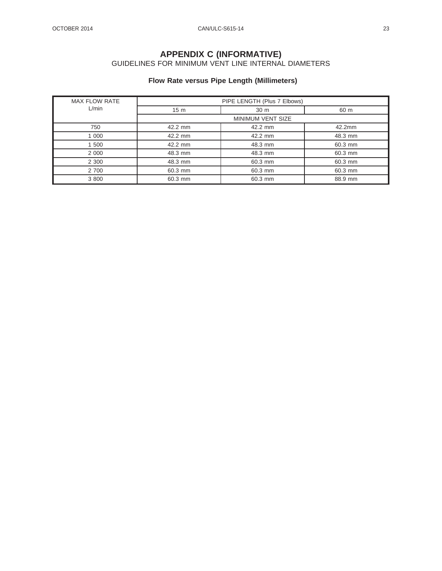#### **APPENDIX C (INFORMATIVE)** GUIDELINES FOR MINIMUM VENT LINE INTERNAL DIAMETERS

# **Flow Rate versus Pipe Length (Millimeters)**

| <b>MAX FLOW RATE</b> |                          | PIPE LENGTH (Plus 7 Elbows) |         |
|----------------------|--------------------------|-----------------------------|---------|
| L/min                | 15 <sub>m</sub>          | 30 <sub>m</sub>             | 60 m    |
|                      | <b>MINIMUM VENT SIZE</b> |                             |         |
| 750                  | 42.2 mm                  | 42.2 mm                     | 42.2mm  |
| 1 000                | 42.2 mm                  | 42.2 mm                     | 48.3 mm |
| 1 500                | 42.2 mm                  | 48.3 mm                     | 60.3 mm |
| 2 0 0 0              | 48.3 mm                  | 48.3 mm                     | 60.3 mm |
| 2 3 0 0              | 48.3 mm                  | 60.3 mm                     | 60.3 mm |
| 2 700                | 60.3 mm                  | 60.3 mm                     | 60.3 mm |
| 3 800                | 60.3 mm                  | 60.3 mm                     | 88.9 mm |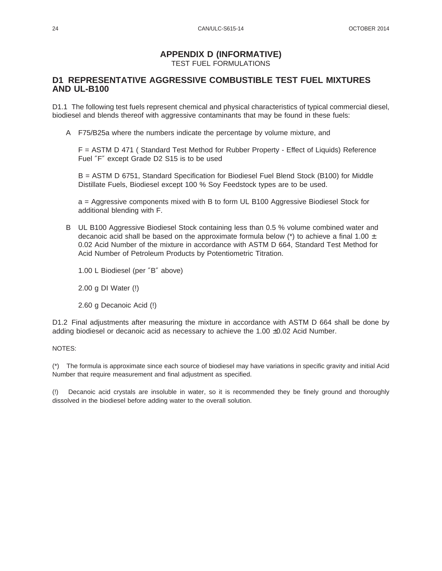# **APPENDIX D (INFORMATIVE)**

TEST FUEL FORMULATIONS

#### **D1 REPRESENTATIVE AGGRESSIVE COMBUSTIBLE TEST FUEL MIXTURES AND UL-B100**

D1.1 The following test fuels represent chemical and physical characteristics of typical commercial diesel, biodiesel and blends thereof with aggressive contaminants that may be found in these fuels:

A F75/B25a where the numbers indicate the percentage by volume mixture, and

F = ASTM D 471 ( Standard Test Method for Rubber Property - Effect of Liquids) Reference Fuel ″F″ except Grade D2 S15 is to be used

B = ASTM D 6751, Standard Specification for Biodiesel Fuel Blend Stock (B100) for Middle Distillate Fuels, Biodiesel except 100 % Soy Feedstock types are to be used.

a = Aggressive components mixed with B to form UL B100 Aggressive Biodiesel Stock for additional blending with F.

- B UL B100 Aggressive Biodiesel Stock containing less than 0.5 % volume combined water and decanoic acid shall be based on the approximate formula below ( $*$ ) to achieve a final 1.00  $\pm$ 0.02 Acid Number of the mixture in accordance with ASTM D 664, Standard Test Method for Acid Number of Petroleum Products by Potentiometric Titration.
	- 1.00 L Biodiesel (per ″B″ above)
	- 2.00 g DI Water (!)
	- 2.60 g Decanoic Acid (!)

D1.2 Final adjustments after measuring the mixture in accordance with ASTM D 664 shall be done by adding biodiesel or decanoic acid as necessary to achieve the  $1.00 \pm 0.02$  Acid Number.

#### NOTES:

(\*) The formula is approximate since each source of biodiesel may have variations in specific gravity and initial Acid Number that require measurement and final adjustment as specified.

(!) Decanoic acid crystals are insoluble in water, so it is recommended they be finely ground and thoroughly dissolved in the biodiesel before adding water to the overall solution.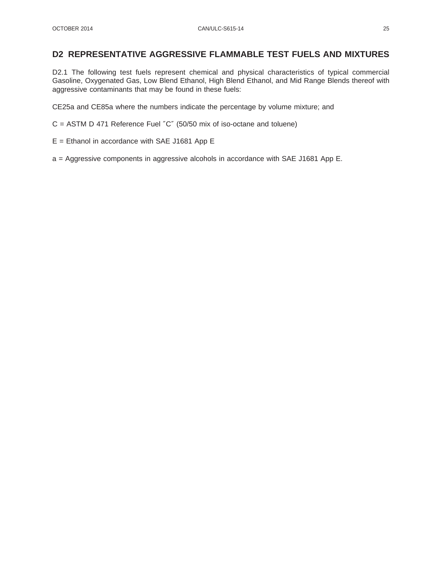#### **D2 REPRESENTATIVE AGGRESSIVE FLAMMABLE TEST FUELS AND MIXTURES**

D2.1 The following test fuels represent chemical and physical characteristics of typical commercial Gasoline, Oxygenated Gas, Low Blend Ethanol, High Blend Ethanol, and Mid Range Blends thereof with aggressive contaminants that may be found in these fuels:

CE25a and CE85a where the numbers indicate the percentage by volume mixture; and

C = ASTM D 471 Reference Fuel ″C″ (50/50 mix of iso-octane and toluene)

- E = Ethanol in accordance with SAE J1681 App E
- a = Aggressive components in aggressive alcohols in accordance with SAE J1681 App E.